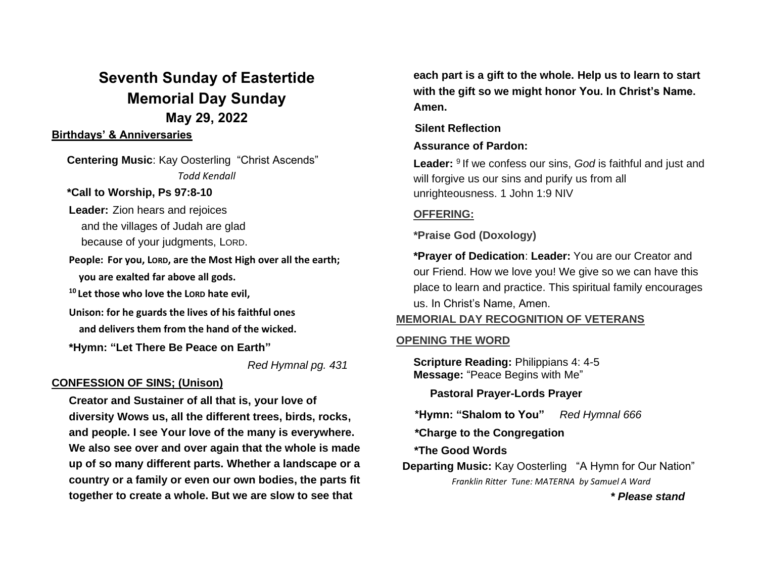# **Seventh Sunday of Eastertide Memorial Day Sunday May 29, 2022**

### **Birthdays' & Anniversaries**

 **Centering Music**: Kay Oosterling "Christ Ascends" *Todd Kendall*

### **\*Call to Worship, Ps 97:8-10**

**Leader:** Zion hears and rejoices and the villages of Judah are glad because of your judgments, LORD.

**People: For you, LORD, are the Most High over all the earth; you are exalted far above all gods.**

**<sup>10</sup> Let those who love the LORD hate evil,**

**Unison: for he guards the lives of his faithful ones and delivers them from the hand of the wicked.** 

**\*Hymn: "Let There Be Peace on Earth"** 

*Red Hymnal pg. 431*

### **CONFESSION OF SINS; (Unison)**

**Creator and Sustainer of all that is, your love of diversity Wows us, all the different trees, birds, rocks, and people. I see Your love of the many is everywhere. We also see over and over again that the whole is made up of so many different parts. Whether a landscape or a country or a family or even our own bodies, the parts fit together to create a whole. But we are slow to see that** 

**each part is a gift to the whole. Help us to learn to start with the gift so we might honor You. In Christ's Name. Amen.**

## **Silent Reflection**

# **Assurance of Pardon:**

Leader: <sup>9</sup> If we confess our sins, God is faithful and just and will forgive us our sins and purify us from all unrighteousness. 1 John 1:9 NIV

# **OFFERING:**

**\*Praise God (Doxology)**

**\*Prayer of Dedication**: **Leader:** You are our Creator and our Friend. How we love you! We give so we can have this place to learn and practice. This spiritual family encourages us. In Christ's Name, Amen.

# **MEMORIAL DAY RECOGNITION OF VETERANS**

### **OPENING THE WORD**

**Scripture Reading:** Philippians 4: 4-5 **Message:** "Peace Begins with Me"

 **Pastoral Prayer-Lords Prayer**

 **\*Hymn: "Shalom to You"** *Red Hymnal 666* 

 **\*Charge to the Congregation**

 **\*The Good Words**

 **Departing Music:** Kay Oosterling "A Hymn for Our Nation" *Franklin Ritter Tune: MATERNA by Samuel A Ward*

 *\* Please stand*